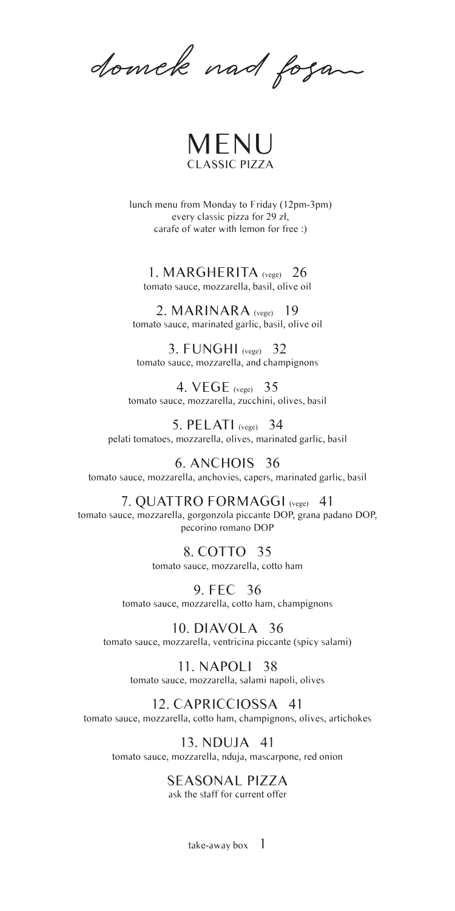domek nad fogan



lunch menu from Monday to Friday (12pm-3pm) every classic pizza for 29 zł, carafe of water with lemon for free :)

1. MARGHERITA (vege) 26 tomato sauce, mozzarella, basil, olive oil

2. MARINARA (vege) 19 tomato sauce, marinated garlic, basil, olive oil

3. FUNGHI (vege) 32 tomato sauce, mozzarella, and champignons

4. VEGE (vege) 35 tomato sauce, mozzarella, zucchini, olives, basil

5. PELATI (vege) 34 pelati tomatoes, mozzarella, olives, marinated garlic, basil

6. ANCHOIS 36 tomato sauce, mozzarella, anchovies, capers, marinated garlic, basil

7. QUATTRO FORMAGGI (vege) 41 tomato sauce, mozzarella, gorgonzola piccante DOP, grana padano DOP, pecorino romano DOP

> 8. COTTO 35 tomato sauce, mozzarella, cotto ham

9. FEC 36 tomato sauce, mozzarella, cotto ham, champignons

10. DIAVOLA 36 tomato sauce, mozzarella, ventricina piccante (spicy salami)

> 11. NAPOLI 38 tomato sauce, mozzarella, salami napoli, olives

#### 12. CAPRICCIOSSA 41

tomato sauce, mozzarella, cotto ham, champignons, olives, artichokes

13. NDUJA 41 tomato sauce, mozzarella, nduja, mascarpone, red onion

# SEASONAL PIZZA

ask the staff for current offer

take-away box  $1$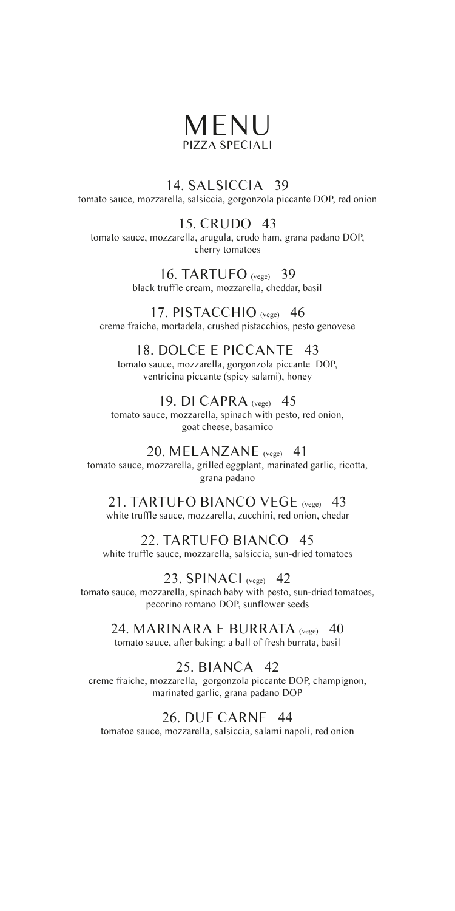# MENU PIZZA SPECIALI

14. SALSICCIA 39 tomato sauce, mozzarella, salsiccia, gorgonzola piccante DOP, red onion

#### 15. CRUDO 43

tomato sauce, mozzarella, arugula, crudo ham, grana padano DOP, cherry tomatoes

> 16. TARTUFO (vege) 39 black truffle cream, mozzarella, cheddar, basil

17. PISTACCHIO (vege) 46 creme fraiche, mortadela, crushed pistacchios, pesto genovese

#### 18. DOLCE E PICCANTE 43

tomato sauce, mozzarella, gorgonzola piccante DOP, ventricina piccante (spicy salami), honey

19. DI CAPRA (vege) 45 tomato sauce, mozzarella, spinach with pesto, red onion, goat cheese, basamico

20. MELANZANE (vege) 41 tomato sauce, mozzarella, grilled eggplant, marinated garlic, ricotta, grana padano

21. TARTUFO BIANCO VEGE (vege) 43 white truffle sauce, mozzarella, zucchini, red onion, chedar

#### 22. TARTUFO BIANCO 45

white truffle sauce, mozzarella, salsiccia, sun-dried tomatoes

23. SPINACI (vege) 42 tomato sauce, mozzarella, spinach baby with pesto, sun-dried tomatoes, pecorino romano DOP, sunflower seeds

24. MARINARA E BURRATA (vege) 40 tomato sauce, after baking: a ball of fresh burrata, basil

# 25. BIANCA 42

creme fraiche, mozzarella, gorgonzola piccante DOP, champignon, marinated garlic, grana padano DOP

#### 26. DUE CARNE 44

tomatoe sauce, mozzarella, salsiccia, salami napoli, red onion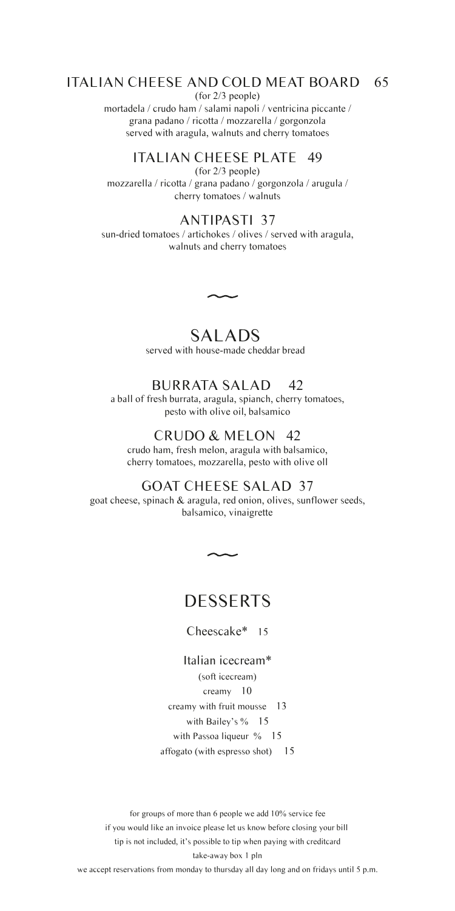#### ITALIAN CHEESE AND COLD MEAT BOARD 65

(for 2/3 people)

mortadela / crudo ham / salami napoli / ventricina piccante / grana padano / ricotta / mozzarella / gorgonzola served with aragula, walnuts and cherry tomatoes

# ITALIAN CHEESE PLATE 49

(for 2/3 people) mozzarella / ricotta / grana padano / gorgonzola / arugula / cherry tomatoes / walnuts

#### ANTIPASTI 37

sun-dried tomatoes / artichokes / olives / served with aragula, walnuts and cherry tomatoes

> SALADS served with house-made cheddar bread

 $\overline{\phantom{0}}$ 

#### BURRATA SALAD 42

a ball of fresh burrata, aragula, spianch, cherry tomatoes, pesto with olive oil, balsamico

#### CRUDO & MELON 42

crudo ham, fresh melon, aragula with balsamico, cherry tomatoes, mozzarella, pesto with olive oll

#### GOAT CHEESE SALAD 37

goat cheese, spinach & aragula, red onion, olives, sunflower seeds, balsamico, vinaigrette

# **DESSERTS**

Cheescake\* 15

Italian icecream\* (soft icecream) creamy 10 creamy with fruit mousse 13 with Bailey's % 15 with Passoa liqueur % 15 affogato (with espresso shot) 15

for groups of more than 6 people we add 10% service fee if you would like an invoice please let us know before closing your bill tip is not included, it's possible to tip when paying with creditcard take-away box 1 pln

we accept reservations from monday to thursday all day long and on fridays until 5 p.m.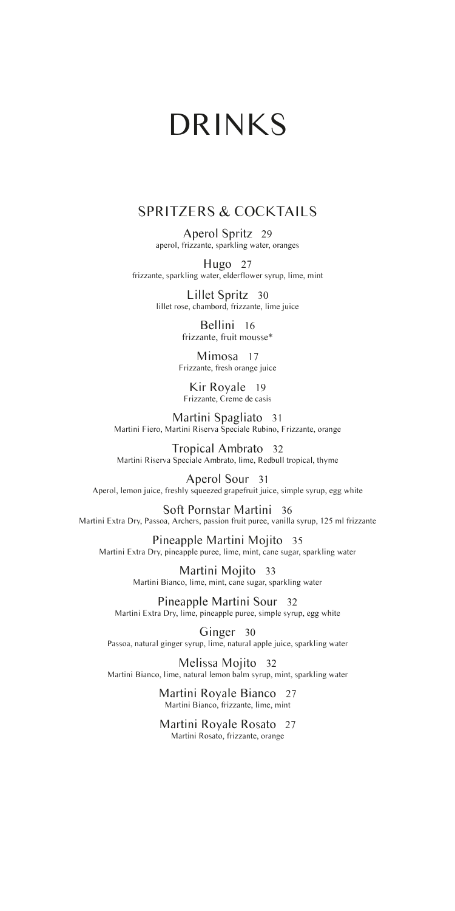# DRINKS

#### SPRITZERS & COCKTAILS

Aperol Spritz 29 aperol, frizzante, sparkling water, oranges

Hugo 27 frizzante, sparkling water, elderflower syrup, lime, mint

> Lillet Spritz 30 lillet rose, chambord, frizzante, lime juice

> > Bellini 16 frizzante, fruit mousse\*

Mimosa 17 Frizzante, fresh orange juice

Kir Royale 19 Frizzante, Creme de casis

Martini Spagliato 31 Martini Fiero, Martini Riserva Speciale Rubino, Frizzante, orange

Tropical Ambrato 32 Martini Riserva Speciale Ambrato, lime, Redbull tropical, thyme

Aperol Sour 31 Aperol, lemon juice, freshly squeezed grapefruit juice, simple syrup, egg white

Soft Pornstar Martini 36 Martini Extra Dry, Passoa, Archers, passion fruit puree, vanilla syrup, 125 ml frizzante

Pineapple Martini Mojito 35 Martini Extra Dry, pineapple puree, lime, mint, cane sugar, sparkling water

> Martini Mojito 33 Martini Bianco, lime, mint, cane sugar, sparkling water

Pineapple Martini Sour 32 Martini Extra Dry, lime, pineapple puree, simple syrup, egg white

Ginger 30 Passoa, natural ginger syrup, lime, natural apple juice, sparkling water

Melissa Mojito 32 Martini Bianco, lime, natural lemon balm syrup, mint, sparkling water

> Martini Royale Bianco 27 Martini Bianco, frizzante, lime, mint

> Martini Royale Rosato 27 Martini Rosato, frizzante, orange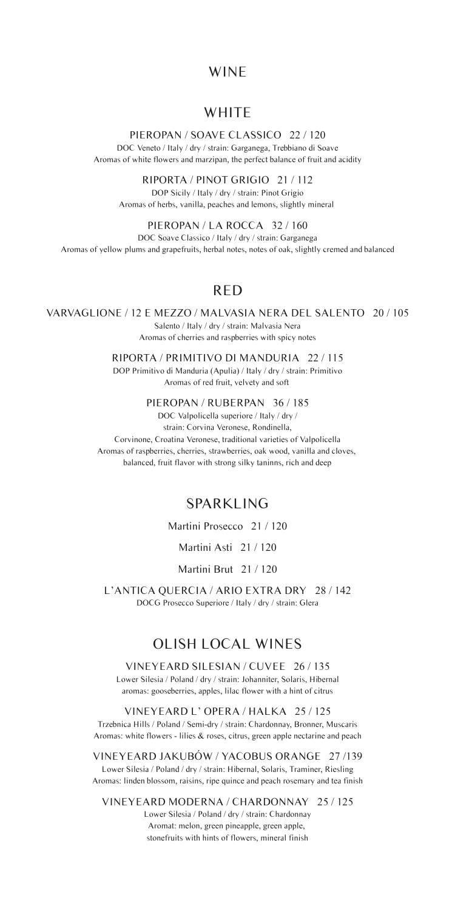#### WINE

#### **WHITE**

#### PIEROPAN / SOAVE CLASSICO 22 / 120

DOC Veneto / Italy / dry / strain: Garganega, Trebbiano di Soave Aromas of white flowers and marzipan, the perfect balance of fruit and acidity

> RIPORTA / PINOT GRIGIO 21 / 112 DOP Sicily / Italy / dry / strain: Pinot Grigio

Aromas of herbs, vanilla, peaches and lemons, slightly mineral

PIEROPAN / LA ROCCA 32 / 160 DOC Soave Classico / Italy / dry / strain: Garganega Aromas of yellow plums and grapefruits, herbal notes, notes of oak, slightly cremed and balanced

#### RED

VARVAGLIONE / 12 E MEZZO / MALVASIA NERA DEL SALENTO 20 / 105 Salento / Italy / dry / strain: Malvasia Nera

Aromas of cherries and raspberries with spicy notes

RIPORTA / PRIMITIVO DI MANDURIA 22 / 115 DOP Primitivo di Manduria (Apulia) / Italy / dry / strain: Primitivo Aromas of red fruit, velvety and soft

PIEROPAN / RUBERPAN 36 / 185

DOC Valpolicella superiore / Italy / dry / strain: Corvina Veronese, Rondinella, Corvinone, Croatina Veronese, traditional varieties of Valpolicella Aromas of raspberries, cherries, strawberries, oak wood, vanilla and cloves, balanced, fruit flavor with strong silky taninns, rich and deep

# SPARKLING

Martini Prosecco 21 / 120

Martini Asti 21 / 120

Martini Brut 21 / 120

L'ANTICA QUERCIA / ARIO EXTRA DRY 28 / 142 DOCG Prosecco Superiore / Italy / dry / strain: Glera

# OLISH LOCAL WINES

VINEYEARD SILESIAN / CUVEE 26 / 135 Lower Silesia / Poland / dry / strain: Johanniter, Solaris, Hibernal aromas: gooseberries, apples, lilac flower with a hint of citrus

VINEYEARD L' OPERA / HALKA 25 / 125 Trzebnica Hills / Poland / Semi-dry / strain: Chardonnay, Bronner, Muscaris Aromas: white flowers - lilies & roses, citrus, green apple nectarine and peach

VINEYEARD JAKUBÓW / YACOBUS ORANGE 27 /139 Lower Silesia / Poland / dry / strain: Hibernal, Solaris, Traminer, Riesling Aromas: linden blossom, raisins, ripe quince and peach rosemary and tea finish

VINEYEARD MODERNA / CHARDONNAY 25 / 125

Lower Silesia / Poland / dry / strain: Chardonnay Aromat: melon, green pineapple, green apple, stonefruits with hints of flowers, mineral finish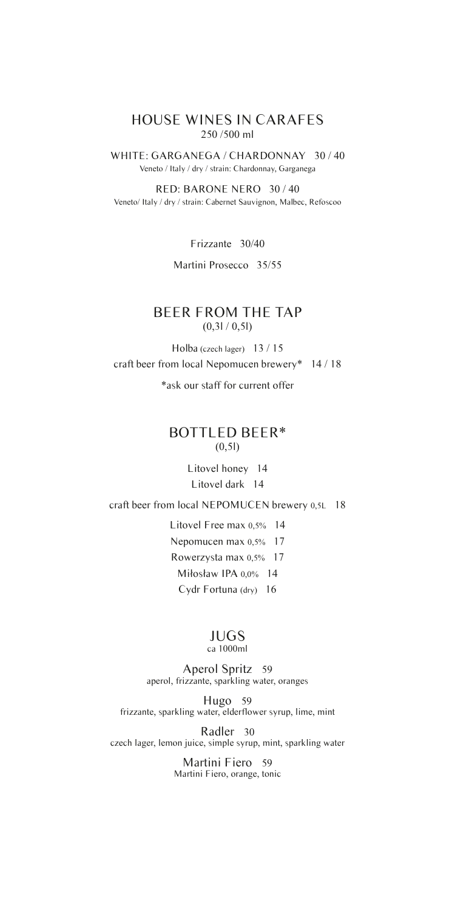#### HOUSE WINES IN CARAFES 250 /500 ml

WHITE: GARGANEGA / CHARDONNAY 30 / 40 Veneto / Italy / dry / strain: Chardonnay, Garganega

RED: BARONE NERO 30 / 40 Veneto/ Italy / dry / strain: Cabernet Sauvignon, Malbec, Refoscoo

Frizzante 30/40

Martini Prosecco 35/55

#### BEER FROM THE TAP  $(0,31/0,51)$

Holba (czech lager) 13 / 15 craft beer from local Nepomucen brewery\* 14 / 18

\*ask our staff for current offer

#### BOTTLED BEER\*  $(0,51)$

Litovel honey 14 Litovel dark 14

craft beer from local NEPOMUCEN brewery 0,5L 18

Litovel Free max 0,5% 14 Nepomucen max 0,5% 17 Rowerzysta max 0,5% 17 Miłosław IPA 0,0% 14 Cydr Fortuna (dry) 16

# JUGS

### ca 1000ml

Aperol Spritz 59 aperol, frizzante, sparkling water, oranges

Hugo 59 frizzante, sparkling water, elderflower syrup, lime, mint

Radler 30 czech lager, lemon juice, simple syrup, mint, sparkling water

> Martini Fiero 59 Martini Fiero, orange, tonic